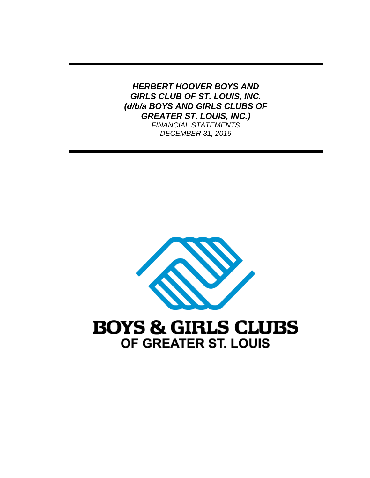*HERBERT HOOVER BOYS AND GIRLS CLUB OF ST. LOUIS, INC. (d/b/a BOYS AND GIRLS CLUBS OF GREATER ST. LOUIS, INC.) FINANCIAL STATEMENTS DECEMBER 31, 2016* 



**BOYS & GIRLS CLUBS** OF GREATER ST. LOUIS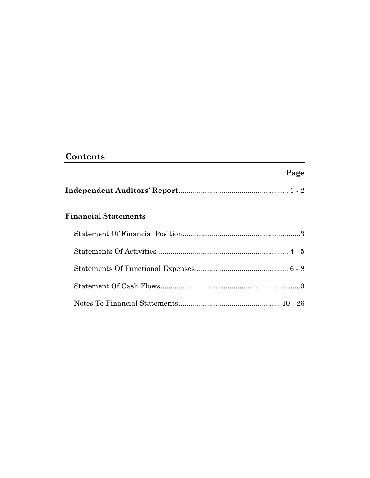# **Contents**

# **Page**

|--|--|

## **Financial Statements**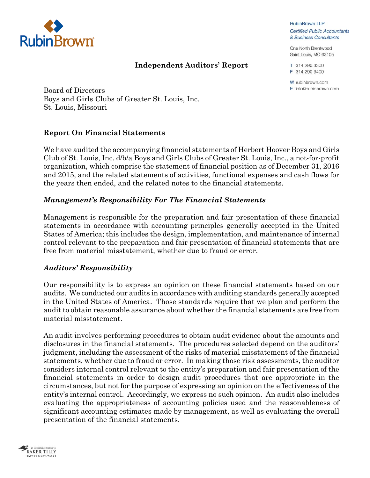

#### **Independent Auditors' Report**

**RubinBrown LLP Certified Public Accountants** & Business Consultants

One North Brentwood Saint Louis, MO 63105

T 314.290.3300 F 314.290.3400

W rubinbrown.com E info@rubinbrown.com

Board of Directors Boys and Girls Clubs of Greater St. Louis, Inc. St. Louis, Missouri

#### **Report On Financial Statements**

We have audited the accompanying financial statements of Herbert Hoover Boys and Girls Club of St. Louis, Inc. d/b/a Boys and Girls Clubs of Greater St. Louis, Inc., a not-for-profit organization, which comprise the statement of financial position as of December 31, 2016 and 2015, and the related statements of activities, functional expenses and cash flows for the years then ended, and the related notes to the financial statements.

#### *Management's Responsibility For The Financial Statements*

Management is responsible for the preparation and fair presentation of these financial statements in accordance with accounting principles generally accepted in the United States of America; this includes the design, implementation, and maintenance of internal control relevant to the preparation and fair presentation of financial statements that are free from material misstatement, whether due to fraud or error.

#### *Auditors' Responsibility*

Our responsibility is to express an opinion on these financial statements based on our audits. We conducted our audits in accordance with auditing standards generally accepted in the United States of America. Those standards require that we plan and perform the audit to obtain reasonable assurance about whether the financial statements are free from material misstatement.

An audit involves performing procedures to obtain audit evidence about the amounts and disclosures in the financial statements. The procedures selected depend on the auditors' judgment, including the assessment of the risks of material misstatement of the financial statements, whether due to fraud or error. In making those risk assessments, the auditor considers internal control relevant to the entity's preparation and fair presentation of the financial statements in order to design audit procedures that are appropriate in the circumstances, but not for the purpose of expressing an opinion on the effectiveness of the entity's internal control. Accordingly, we express no such opinion. An audit also includes evaluating the appropriateness of accounting policies used and the reasonableness of significant accounting estimates made by management, as well as evaluating the overall presentation of the financial statements.

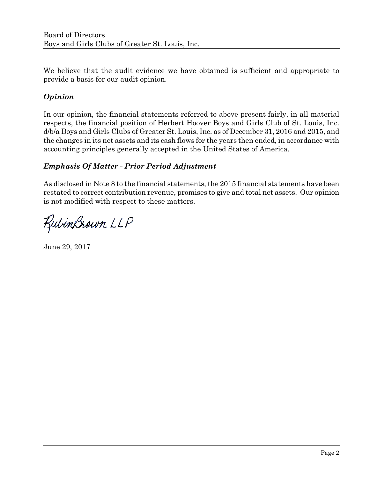We believe that the audit evidence we have obtained is sufficient and appropriate to provide a basis for our audit opinion.

## *Opinion*

In our opinion, the financial statements referred to above present fairly, in all material respects, the financial position of Herbert Hoover Boys and Girls Club of St. Louis, Inc. d/b/a Boys and Girls Clubs of Greater St. Louis, Inc. as of December 31, 2016 and 2015, and the changes in its net assets and its cash flows for the years then ended, in accordance with accounting principles generally accepted in the United States of America.

## *Emphasis Of Matter - Prior Period Adjustment*

As disclosed in Note 8 to the financial statements, the 2015 financial statements have been restated to correct contribution revenue, promises to give and total net assets. Our opinion is not modified with respect to these matters.

RubinBrown LLP

June 29, 2017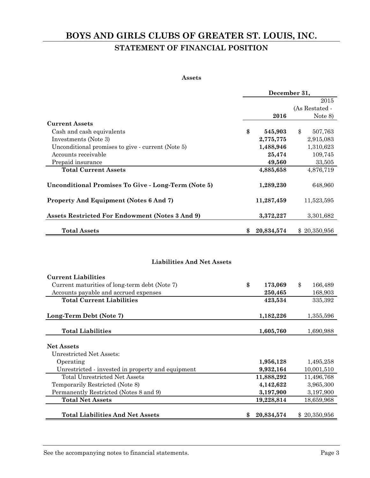# **BOYS AND GIRLS CLUBS OF GREATER ST. LOUIS, INC. STATEMENT OF FINANCIAL POSITION**

#### **Assets**

|                                                     |      | December 31, |    |                |  |
|-----------------------------------------------------|------|--------------|----|----------------|--|
|                                                     | 2015 |              |    |                |  |
|                                                     |      |              |    | (As Restated - |  |
|                                                     |      | 2016         |    | Note 8)        |  |
| <b>Current Assets</b>                               |      |              |    |                |  |
| Cash and cash equivalents                           | \$   | 545,903      | \$ | 507,763        |  |
| Investments (Note 3)                                |      | 2,775,775    |    | 2,915,083      |  |
| Unconditional promises to give - current (Note 5)   |      | 1,488,946    |    | 1,310,623      |  |
| Accounts receivable                                 |      | 25,474       |    | 109,745        |  |
| Prepaid insurance                                   |      | 49,560       |    | 33,505         |  |
| <b>Total Current Assets</b>                         |      | 4,885,658    |    | 4,876,719      |  |
| Unconditional Promises To Give - Long-Term (Note 5) |      | 1,289,230    |    | 648,960        |  |
| <b>Property And Equipment (Notes 6 And 7)</b>       |      | 11,287,459   |    | 11,523,595     |  |
| Assets Restricted For Endowment (Notes 3 And 9)     |      | 3,372,227    |    | 3,301,682      |  |
| <b>Total Assets</b>                                 | \$   | 20,834,574   |    | \$20,350,956   |  |

#### **Liabilities And Net Assets**

| <b>Current Liabilities</b>                        |                  |               |              |
|---------------------------------------------------|------------------|---------------|--------------|
| Current maturities of long-term debt (Note 7)     | \$<br>173,069    | $\mathbf{\$}$ | 166,489      |
| Accounts payable and accrued expenses             | 250,465          |               | 168,903      |
| <b>Total Current Liabilities</b>                  | 423,534          |               | 335,392      |
|                                                   |                  |               |              |
| Long-Term Debt (Note 7)                           | 1,182,226        |               | 1,355,596    |
|                                                   |                  |               |              |
| <b>Total Liabilities</b>                          | 1,605,760        |               | 1,690,988    |
|                                                   |                  |               |              |
| <b>Net Assets</b>                                 |                  |               |              |
| Unrestricted Net Assets:                          |                  |               |              |
| Operating                                         | 1,956,128        |               | 1,495,258    |
| Unrestricted - invested in property and equipment | 9,932,164        |               | 10,001,510   |
| <b>Total Unrestricted Net Assets</b>              | 11,888,292       |               | 11,496,768   |
| Temporarily Restricted (Note 8)                   | 4,142,622        |               | 3,965,300    |
| Permanently Restricted (Notes 8 and 9)            | 3,197,900        |               | 3,197,900    |
| <b>Total Net Assets</b>                           | 19,228,814       |               | 18,659,968   |
|                                                   |                  |               |              |
| <b>Total Liabilities And Net Assets</b>           | \$<br>20,834,574 |               | \$20,350,956 |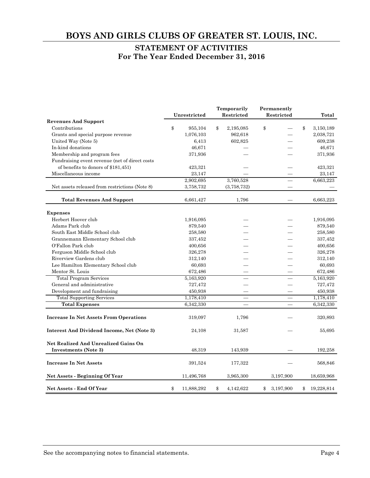#### **STATEMENT OF ACTIVITIES For The Year Ended December 31, 2016**

|                                                | Unrestricted     | Temporarily<br>Restricted | Permanently<br>Restricted | Total            |
|------------------------------------------------|------------------|---------------------------|---------------------------|------------------|
| <b>Revenues And Support</b>                    |                  |                           |                           |                  |
| Contributions                                  | \$<br>955,104    | \$<br>2,195,085           | \$                        | \$<br>3,150,189  |
| Grants and special purpose revenue             | 1,076,103        | 962,618                   |                           | 2,038,721        |
| United Way (Note 5)                            | 6,413            | 602,825                   |                           | 609,238          |
| In-kind donations                              | 46,671           |                           |                           | 46,671           |
| Membership and program fees                    | 371,936          |                           |                           | 371,936          |
| Fundraising event revenue (net of direct costs |                  |                           |                           |                  |
| of benefits to donors of \$181,451)            | 423,321          |                           |                           | 423,321          |
| Miscellaneous income                           | 23,147           |                           |                           | 23,147           |
|                                                | 2,902,695        | 3,760,528                 |                           | 6,663,223        |
| Net assets released from restrictions (Note 8) | 3,758,732        | (3,758,732)               |                           |                  |
| <b>Total Revenues And Support</b>              | 6,661,427        | 1,796                     |                           | 6,663,223        |
| <b>Expenses</b>                                |                  |                           |                           |                  |
| Herbert Hoover club                            | 1,916,095        |                           |                           | 1,916,095        |
| Adams Park club                                | 879,540          |                           |                           | 879,540          |
| South East Middle School club                  | 258,580          |                           |                           | 258,580          |
| Grannemann Elementary School club              | 337,452          |                           |                           | 337,452          |
| O'Fallon Park club                             | 400,656          |                           |                           | 400,656          |
| Ferguson Middle School club                    | 326,278          |                           |                           | 326,278          |
| Riverview Gardens club                         | 312,140          |                           |                           | 312,140          |
| Lee Hamilton Elementary School club            | 60,693           |                           |                           | 60,693           |
| Mentor St. Louis                               | 672,486          |                           |                           | 672,486          |
| <b>Total Program Services</b>                  | 5,163,920        | $\overline{\phantom{0}}$  |                           | 5,163,920        |
| General and administrative                     | 727,472          |                           |                           | 727,472          |
| Development and fundraising                    | 450,938          |                           |                           | 450,938          |
| <b>Total Supporting Services</b>               | 1,178,410        |                           |                           | 1,178,410        |
| <b>Total Expenses</b>                          | 6,342,330        | $\overline{\phantom{0}}$  |                           | 6,342,330        |
| <b>Increase In Net Assets From Operations</b>  | 319,097          | 1,796                     |                           | 320,893          |
| Interest And Dividend Income, Net (Note 3)     | 24,108           | 31,587                    |                           | 55,695           |
| Net Realized And Unrealized Gains On           |                  |                           |                           |                  |
| <b>Investments</b> (Note 3)                    | 48,319           | 143,939                   |                           | 192,258          |
| <b>Increase In Net Assets</b>                  | 391,524          | 177,322                   |                           | 568,846          |
| Net Assets - Beginning Of Year                 | 11,496,768       | 3,965,300                 | 3,197,900                 | 18,659,968       |
| Net Assets - End Of Year                       | \$<br>11,888,292 | \$<br>4,142,622           | \$<br>3,197,900           | \$<br>19,228,814 |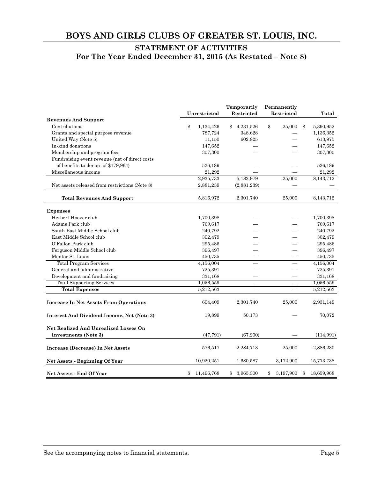#### **STATEMENT OF ACTIVITIES For The Year Ended December 31, 2015 (As Restated – Note 8)**

|                                                | Unrestricted     | Temporarily<br>Restricted | Permanently<br>Restricted |       | Total      |
|------------------------------------------------|------------------|---------------------------|---------------------------|-------|------------|
| <b>Revenues And Support</b>                    |                  |                           |                           |       |            |
| Contributions                                  | \$<br>1,134,426  | \$<br>4,231,526           | \$<br>25,000              | $\$\$ | 5,390,952  |
| Grants and special purpose revenue             | 787,724          | 348,628                   |                           |       | 1,136,352  |
| United Way (Note 5)                            | 11,150           | 602,825                   |                           |       | 613,975    |
| In-kind donations                              | 147,652          |                           |                           |       | 147,652    |
| Membership and program fees                    | 307,300          |                           |                           |       | 307,300    |
| Fundraising event revenue (net of direct costs |                  |                           |                           |       |            |
| of benefits to donors of \$179,964)            | 526,189          |                           |                           |       | 526,189    |
| Miscellaneous income                           | 21,292           |                           |                           |       | 21,292     |
|                                                | 2,935,733        | 5,182,979                 | 25,000                    |       | 8,143,712  |
| Net assets released from restrictions (Note 8) | 2,881,239        | (2,881,239)               |                           |       |            |
| <b>Total Revenues And Support</b>              | 5,816,972        | 2,301,740                 | 25,000                    |       | 8,143,712  |
| <b>Expenses</b>                                |                  |                           |                           |       |            |
| Herbert Hoover club                            | 1,700,398        |                           |                           |       | 1,700,398  |
| Adams Park club                                | 769,617          |                           |                           |       | 769,617    |
| South East Middle School club                  | 240,792          |                           |                           |       | 240,792    |
| East Middle School club                        | 302,479          |                           |                           |       | 302,479    |
| O'Fallon Park club                             | 295,486          |                           |                           |       | 295,486    |
| Ferguson Middle School club                    | 396,497          |                           |                           |       | 396,497    |
| Mentor St. Louis                               | 450,735          |                           |                           |       | 450,735    |
| <b>Total Program Services</b>                  | 4,156,004        |                           |                           |       | 4,156,004  |
| General and administrative                     | 725,391          |                           |                           |       | 725,391    |
| Development and fundraising                    | 331,168          |                           |                           |       | 331,168    |
| <b>Total Supporting Services</b>               | 1,056,559        |                           |                           |       | 1,056,559  |
| <b>Total Expenses</b>                          | 5,212,563        |                           |                           |       | 5,212,563  |
| <b>Increase In Net Assets From Operations</b>  | 604,409          | 2,301,740                 | 25,000                    |       | 2,931,149  |
| Interest And Dividend Income, Net (Note 3)     | 19,899           | 50,173                    |                           |       | 70,072     |
| Net Realized And Unrealized Losses On          |                  |                           |                           |       |            |
| <b>Investments</b> (Note 3)                    | (47, 791)        | (67,200)                  |                           |       | (114, 991) |
| Increase (Decrease) In Net Assets              | 576,517          | 2,284,713                 | 25,000                    |       | 2,886,230  |
| <b>Net Assets - Beginning Of Year</b>          | 10,920,251       | 1,680,587                 | 3,172,900                 |       | 15,773,738 |
| <b>Net Assets - End Of Year</b>                | \$<br>11,496,768 | \$<br>3,965,300           | \$<br>3,197,900           | \$    | 18,659,968 |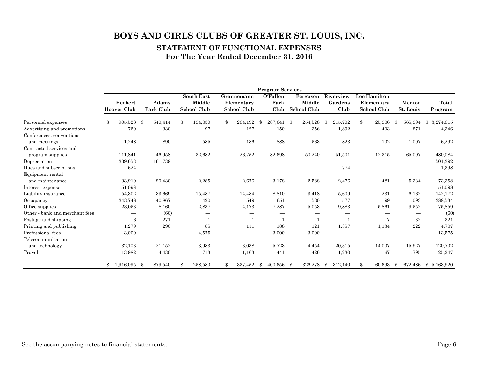#### **STATEMENT OF FUNCTIONAL EXPENSES For The Year Ended December 31, 2016**

|                                |                    |                          |                          |                    | <b>Program Services</b> |               |                |                         |               |                 |
|--------------------------------|--------------------|--------------------------|--------------------------|--------------------|-------------------------|---------------|----------------|-------------------------|---------------|-----------------|
|                                |                    |                          | <b>South East</b>        | Grannemann         | O'Fallon                | Ferguson      | Riverview      | <b>Lee Hamilton</b>     |               |                 |
|                                | Herbert            | Adams                    | Middle                   | Elementary         | Park                    | Middle        | Gardens        | Elementary              | Mentor        | Total           |
|                                | <b>Hoover Club</b> | Park Club                | <b>School Club</b>       | <b>School Club</b> | Club                    | School Club   | Club           | <b>School Club</b>      | St. Louis     | Program         |
| Personnel expenses             | \$<br>905,528      | - \$<br>540,414          | $\mathbf{\$}$<br>194,830 | \$<br>284,192      | \$<br>287.641           | 254,528<br>\$ | 215,702<br>\$  | $\mathbf{\$}$<br>25,986 | 565,994<br>\$ | 3,274,815<br>\$ |
| Advertising and promotions     | 720                | 330                      | 97                       | 127                | 150                     | 356           | 1,892          | 403                     | 271           | 4,346           |
| Conferences, conventions       |                    |                          |                          |                    |                         |               |                |                         |               |                 |
| and meetings                   | 1,248              | 890                      | 585                      | 186                | 888                     | 563           | 823            | 102                     | 1,007         | 6,292           |
| Contracted services and        |                    |                          |                          |                    |                         |               |                |                         |               |                 |
| program supplies               | 111,841            | 46,958                   | 32,682                   | 26,752             | 82,698                  | 50,240        | 51,501         | 12,315                  | 65,097        | 480,084         |
| Depreciation                   | 339,653            | 161,739                  |                          |                    |                         |               |                |                         |               | 501,392         |
| Dues and subscriptions         | 624                |                          |                          |                    |                         |               | 774            |                         |               | 1,398           |
| Equipment rental               |                    |                          |                          |                    |                         |               |                |                         |               |                 |
| and maintenance                | 33,910             | 20,430                   | 2,285                    | 2,676              | 3,178                   | 2,588         | 2,476          | 481                     | 5,334         | 73,358          |
| Interest expense               | 51,098             |                          |                          |                    |                         |               |                |                         |               | 51,098          |
| Liability insurance            | 54,302             | 33,669                   | 15,487                   | 14,484             | 8,810                   | 3,418         | 5,609          | 231                     | 6,162         | 142,172         |
| Occupancy                      | 343,748            | 40,867                   | 420                      | 549                | 651                     | 530           | 577            | 99                      | 1,093         | 388,534         |
| Office supplies                | 23,053             | 8,160                    | 2,837                    | 4,173              | 7,287                   | 5,053         | 9,883          | 5,861                   | 9,552         | 75,859          |
| Other - bank and merchant fees |                    | (60)                     |                          |                    |                         |               |                |                         |               | (60)            |
| Postage and shipping           | 6                  | 271                      |                          | $\mathbf{1}$       |                         |               |                | 7                       | 32            | 321             |
| Printing and publishing        | 1,279              | 290                      | 85                       | 111                | 188                     | 121           | 1,357          | 1,134                   | 222           | 4,787           |
| Professional fees              | 3,000              | $\overline{\phantom{0}}$ | 4,575                    |                    | 3,000                   | 3,000         |                |                         |               | 13,575          |
| Telecommunication              |                    |                          |                          |                    |                         |               |                |                         |               |                 |
| and technology                 | 32,103             | 21,152                   | 3,983                    | 3,038              | 5,723                   | 4,454         | 20,315         | 14,007                  | 15,927        | 120,702         |
| Travel                         | 13,982             | 4,430                    | 713                      | 1,163              | 441                     | 1,426         | 1,230          | 67                      | 1,795         | 25,247          |
|                                | \$<br>1,916,095    | 879,540<br>-8            | 258,580<br>\$            | 337.452<br>\$      | - \$<br>$400.656$ \$    | 326,278       | 312,140<br>\$. | \$<br>60.693            | 672,486<br>-8 | \$5.163.920     |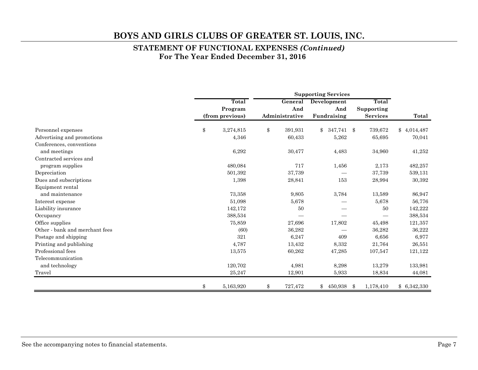#### **STATEMENT OF FUNCTIONAL EXPENSES** *(Continued)*  **For The Year Ended December 31, 2016**

|                                |                 |                | <b>Supporting Services</b> |                            |             |
|--------------------------------|-----------------|----------------|----------------------------|----------------------------|-------------|
|                                | Total           | General        | Development                | Total                      |             |
|                                | Program         | And            | And                        | Supporting                 |             |
|                                | (from previous) | Administrative | Fundraising                | <b>Services</b>            | Total       |
| Personnel expenses             | \$<br>3,274,815 | \$<br>391,931  | \$<br>347,741              | \$<br>739,672              | \$4,014,487 |
| Advertising and promotions     | 4,346           | 60,433         | 5,262                      | 65,695                     | 70,041      |
| Conferences, conventions       |                 |                |                            |                            |             |
| and meetings                   | 6,292           | 30,477         | 4,483                      | 34,960                     | 41,252      |
| Contracted services and        |                 |                |                            |                            |             |
| program supplies               | 480,084         | 717            | 1,456                      | 2,173                      | 482,257     |
| Depreciation                   | 501,392         | 37,739         |                            | 37,739                     | 539,131     |
| Dues and subscriptions         | 1,398           | 28,841         | 153                        | 28,994                     | 30,392      |
| Equipment rental               |                 |                |                            |                            |             |
| and maintenance                | 73,358          | 9,805          | 3,784                      | 13,589                     | 86,947      |
| Interest expense               | 51,098          | 5,678          |                            | 5,678                      | 56,776      |
| Liability insurance            | 142,172         | 50             |                            | 50                         | 142,222     |
| Occupancy                      | 388,534         |                |                            |                            | 388,534     |
| Office supplies                | 75,859          | 27,696         | 17,802                     | 45,498                     | 121,357     |
| Other - bank and merchant fees | (60)            | 36,282         |                            | 36,282                     | 36,222      |
| Postage and shipping           | 321             | 6,247          | 409                        | 6,656                      | 6,977       |
| Printing and publishing        | 4,787           | 13,432         | 8,332                      | 21,764                     | 26,551      |
| Professional fees              | 13,575          | 60,262         | 47,285                     | 107,547                    | 121,122     |
| Telecommunication              |                 |                |                            |                            |             |
| and technology                 | 120,702         | 4,981          | 8,298                      | 13,279                     | 133,981     |
| Travel                         | 25,247          | 12,901         | 5,933                      | 18,834                     | 44,081      |
|                                | \$<br>5,163,920 | \$<br>727,472  | \$<br>450,938              | 1,178,410<br>$\mathbf{\$}$ | \$6,342,330 |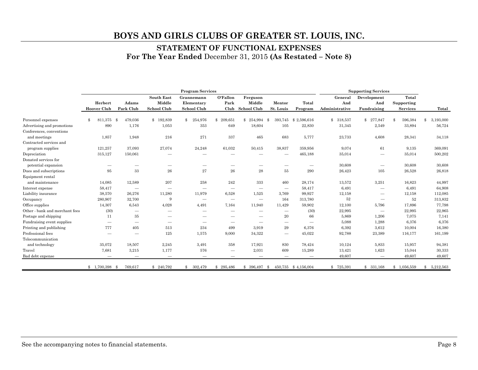#### **STATEMENT OF FUNCTIONAL EXPENSES For The Year Ended** December 31, 2015 **(As Restated – Note 8)**

|                                                        |                               |                                 |                                                   | <b>Program Services</b>                        |                          |                                        |                                 |                          |                                  | <b>Supporting Services</b>        |                                        |                             |
|--------------------------------------------------------|-------------------------------|---------------------------------|---------------------------------------------------|------------------------------------------------|--------------------------|----------------------------------------|---------------------------------|--------------------------|----------------------------------|-----------------------------------|----------------------------------------|-----------------------------|
|                                                        | Herbert<br><b>Hoover Club</b> | Adams<br>Park Club              | <b>South East</b><br>Middle<br><b>School Club</b> | Grannemann<br>Elementary<br><b>School Club</b> | O'Fallon<br>Park         | Ferguson<br>Middle<br>Club School Club | Mentor<br>St. Louis             | Total<br>Program         | General<br>And<br>Administrative | Development<br>And<br>Fundraising | Total<br>Supporting<br><b>Services</b> | Total                       |
| Personnel expenses                                     | 811.375                       | 479,036<br>- \$                 | \$192,839                                         | \$254,976                                      | \$209,651                | $$254,994$ \$                          |                                 | 393,745 \$2,596,616      | \$ 318,537                       | \$277,847                         | 596,384<br>\$                          | $\mathbf{\Re}$<br>3,193,000 |
| Advertising and promotions<br>Conferences, conventions | 890                           | 1,176                           | 1,053                                             | 353                                            | 649                      | 18,604                                 | 105                             | 22,830                   | 31,345                           | 2,549                             | 33,894                                 | 56,724                      |
| and meetings                                           | 1,857                         | 1,948                           | 216                                               | 271                                            | 337                      | 465                                    | 683                             | 5,777                    | 23,733                           | 4,608                             | 28,341                                 | 34,118                      |
| Contracted services and                                |                               |                                 |                                                   |                                                |                          |                                        |                                 |                          |                                  |                                   |                                        |                             |
| program supplies                                       | 121,257                       | 37,093                          | 27,074                                            | 24,248                                         | 61,032                   | 50,415                                 | 38,837                          | 359,956                  | 9,074                            | 61                                | 9,135                                  | 369,091                     |
| Depreciation                                           | 315,127                       | 150,061                         |                                                   |                                                |                          |                                        | $\hspace{0.1mm}-\hspace{0.1mm}$ | 465,188                  | 35,014                           |                                   | 35,014                                 | 500,202                     |
| Donated services for                                   |                               |                                 |                                                   |                                                |                          |                                        |                                 |                          |                                  |                                   |                                        |                             |
| potential expansion                                    |                               |                                 | -                                                 |                                                |                          |                                        |                                 |                          | 30,608                           |                                   | 30,608                                 | 30,608                      |
| Dues and subscriptions                                 | 95                            | 33                              | 26                                                | 27                                             | 26                       | 28                                     | 55                              | 290                      | 26,423                           | 105                               | 26,528                                 | 26,818                      |
| Equipment rental                                       |                               |                                 |                                                   |                                                |                          |                                        |                                 |                          |                                  |                                   |                                        |                             |
| and maintenance                                        | 14,085                        | 12,589                          | 207                                               | 258                                            | 242                      | 333                                    | 460                             | 28,174                   | 13,572                           | 3,251                             | 16,823                                 | 44,997                      |
| Interest expense                                       | 58,417                        | $\hspace{0.1mm}-\hspace{0.1mm}$ |                                                   |                                                | $\qquad \qquad$          | $\hspace{0.1mm}-\hspace{0.1mm}$        | $\hspace{0.1mm}-\hspace{0.1mm}$ | 58,417                   | 6,491                            | $\hspace{0.1mm}-\hspace{0.1mm}$   | 6,491                                  | 64,908                      |
| Liability insurance                                    | 38,570                        | 26,276                          | 11,280                                            | 11,979                                         | 6,528                    | 1,525                                  | 3,769                           | 99,927                   | 12,158                           | —                                 | 12,158                                 | 112,085                     |
| Occupancy                                              | 280,907                       | 32,700                          | 9                                                 | $\hspace{0.1mm}-\hspace{0.1mm}$                | $\overline{\phantom{m}}$ | $\hspace{0.1mm}-\hspace{0.1mm}$        | 164                             | 313,780                  | $52\,$                           |                                   | 52                                     | 313,832                     |
| Office supplies                                        | 14,307                        | 6,543                           | 4,028                                             | 4,491                                          | 7,164                    | 11,940                                 | 11,429                          | 59,902                   | 12,100                           | 5,796                             | 17,896                                 | 77,798                      |
| Other - bank and merchant fees                         | (30)                          | $\qquad \qquad$                 | —                                                 |                                                |                          |                                        | $\hspace{0.1mm}-\hspace{0.1mm}$ | (30)                     | 22,995                           |                                   | 22,995                                 | 22,965                      |
| Postage and shipping                                   | 11                            | 35                              | —                                                 |                                                |                          | $\overline{\phantom{a}}$               | $\rm 20$                        | 66                       | 5,869                            | 1,206                             | 7,075                                  | 7,141                       |
| Fundraising event supplies                             | $\overline{\phantom{m}}$      | $\qquad \qquad$                 | —                                                 |                                                |                          | $\overline{\phantom{a}}$               | $\hspace{0.1mm}-\hspace{0.1mm}$ | $\overline{\phantom{a}}$ | 5,088                            | 1,288                             | 6,376                                  | 6,376                       |
| Printing and publishing                                | 777                           | 405                             | 513                                               | 234                                            | 499                      | 3,919                                  | 29                              | 6,376                    | 6,392                            | 3,612                             | 10,004                                 | 16,380                      |
| Professional fees                                      | $\qquad \qquad$               | $\qquad \qquad$                 | 125                                               | 1,575                                          | 9,000                    | 34,322                                 | $\hspace{0.1mm}-\hspace{0.1mm}$ | 45,022                   | 92,788                           | 23,389                            | 116,177                                | 161,199                     |
| Telecommunication                                      |                               |                                 |                                                   |                                                |                          |                                        |                                 |                          |                                  |                                   |                                        |                             |
| and technology                                         | 35,072                        | 18,507                          | 2,245                                             | 3,491                                          | 358                      | 17,921                                 | 830                             | 78,424                   | 10,124                           | 5,833                             | 15,957                                 | 94,381                      |
| Travel                                                 | 7,681                         | 3,215                           | 1,177                                             | 576                                            |                          | 2,031                                  | 609                             | 15,289                   | 13,421                           | 1,623                             | 15,044                                 | 30,333                      |
| Bad debt expense                                       | $\overline{\phantom{m}}$      | $\qquad \qquad$                 | $\hspace{0.1mm}-\hspace{0.1mm}$                   |                                                | $\overline{\phantom{a}}$ | $\overline{\phantom{a}}$               | $\hspace{0.1mm}-\hspace{0.1mm}$ | $\overline{\phantom{a}}$ | 49,607                           |                                   | 49,607                                 | 49,607                      |
|                                                        | \$1,700,398                   | 769,617<br>- \$                 | \$240,792                                         | 302,479<br>$\mathbf{\Re}$                      | \$295,486                |                                        | 450,735                         | \$4,156,004              | 725,391<br>\$                    | 331,168<br>$\mathbb{S}$           | \$1,056,559                            | 5,212,563<br>$\mathbf{\Re}$ |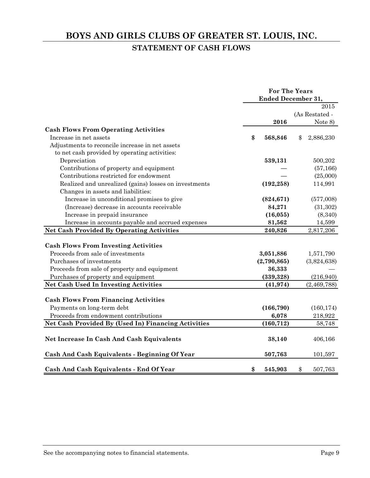# **BOYS AND GIRLS CLUBS OF GREATER ST. LOUIS, INC. STATEMENT OF CASH FLOWS**

| 2015<br>(As Restated -<br>2016<br>Note 8)<br><b>Cash Flows From Operating Activities</b><br>\$<br>Increase in net assets<br>568,846<br>2,886,230<br>\$.<br>Adjustments to reconcile increase in net assets<br>to net cash provided by operating activities:<br>Depreciation<br>539,131<br>500,202<br>Contributions of property and equipment<br>(57, 166)<br>Contributions restricted for endowment<br>(25,000)<br>Realized and unrealized (gains) losses on investments<br>(192, 258)<br>114,991<br>Changes in assets and liabilities:<br>Increase in unconditional promises to give<br>(577,008)<br>(824, 671)<br>(Increase) decrease in accounts receivable<br>84,271<br>(31, 302)<br>Increase in prepaid insurance<br>(16, 055)<br>(8,340)<br>Increase in accounts payable and accrued expenses<br>81,562<br>14,599<br><b>Net Cash Provided By Operating Activities</b><br>240,826<br>2,817,206<br><b>Cash Flows From Investing Activities</b><br>Proceeds from sale of investments<br>3,051,886<br>1,571,790<br>Purchases of investments<br>(3,824,638)<br>(2,790,865)<br>Proceeds from sale of property and equipment<br>36,333<br>Purchases of property and equipment<br>(339, 328)<br>(216, 940)<br>(2, 469, 788)<br><b>Net Cash Used In Investing Activities</b><br>(41, 974)<br><b>Cash Flows From Financing Activities</b><br>Payments on long-term debt<br>(166, 790)<br>(160, 174)<br>Proceeds from endowment contributions<br>6,078<br>218,922<br>Net Cash Provided By (Used In) Financing Activities<br>(160, 712)<br>58,748<br>Net Increase In Cash And Cash Equivalents<br>38,140<br>406,166<br>Cash And Cash Equivalents - Beginning Of Year<br>507,763<br>101,597 |                                                | <b>For The Years</b><br><b>Ended December 31,</b> |               |  |  |
|--------------------------------------------------------------------------------------------------------------------------------------------------------------------------------------------------------------------------------------------------------------------------------------------------------------------------------------------------------------------------------------------------------------------------------------------------------------------------------------------------------------------------------------------------------------------------------------------------------------------------------------------------------------------------------------------------------------------------------------------------------------------------------------------------------------------------------------------------------------------------------------------------------------------------------------------------------------------------------------------------------------------------------------------------------------------------------------------------------------------------------------------------------------------------------------------------------------------------------------------------------------------------------------------------------------------------------------------------------------------------------------------------------------------------------------------------------------------------------------------------------------------------------------------------------------------------------------------------------------------------------------------------------------------------------------|------------------------------------------------|---------------------------------------------------|---------------|--|--|
|                                                                                                                                                                                                                                                                                                                                                                                                                                                                                                                                                                                                                                                                                                                                                                                                                                                                                                                                                                                                                                                                                                                                                                                                                                                                                                                                                                                                                                                                                                                                                                                                                                                                                      |                                                |                                                   |               |  |  |
|                                                                                                                                                                                                                                                                                                                                                                                                                                                                                                                                                                                                                                                                                                                                                                                                                                                                                                                                                                                                                                                                                                                                                                                                                                                                                                                                                                                                                                                                                                                                                                                                                                                                                      |                                                |                                                   |               |  |  |
|                                                                                                                                                                                                                                                                                                                                                                                                                                                                                                                                                                                                                                                                                                                                                                                                                                                                                                                                                                                                                                                                                                                                                                                                                                                                                                                                                                                                                                                                                                                                                                                                                                                                                      |                                                |                                                   |               |  |  |
|                                                                                                                                                                                                                                                                                                                                                                                                                                                                                                                                                                                                                                                                                                                                                                                                                                                                                                                                                                                                                                                                                                                                                                                                                                                                                                                                                                                                                                                                                                                                                                                                                                                                                      |                                                |                                                   |               |  |  |
|                                                                                                                                                                                                                                                                                                                                                                                                                                                                                                                                                                                                                                                                                                                                                                                                                                                                                                                                                                                                                                                                                                                                                                                                                                                                                                                                                                                                                                                                                                                                                                                                                                                                                      |                                                |                                                   |               |  |  |
|                                                                                                                                                                                                                                                                                                                                                                                                                                                                                                                                                                                                                                                                                                                                                                                                                                                                                                                                                                                                                                                                                                                                                                                                                                                                                                                                                                                                                                                                                                                                                                                                                                                                                      |                                                |                                                   |               |  |  |
|                                                                                                                                                                                                                                                                                                                                                                                                                                                                                                                                                                                                                                                                                                                                                                                                                                                                                                                                                                                                                                                                                                                                                                                                                                                                                                                                                                                                                                                                                                                                                                                                                                                                                      |                                                |                                                   |               |  |  |
|                                                                                                                                                                                                                                                                                                                                                                                                                                                                                                                                                                                                                                                                                                                                                                                                                                                                                                                                                                                                                                                                                                                                                                                                                                                                                                                                                                                                                                                                                                                                                                                                                                                                                      |                                                |                                                   |               |  |  |
|                                                                                                                                                                                                                                                                                                                                                                                                                                                                                                                                                                                                                                                                                                                                                                                                                                                                                                                                                                                                                                                                                                                                                                                                                                                                                                                                                                                                                                                                                                                                                                                                                                                                                      |                                                |                                                   |               |  |  |
|                                                                                                                                                                                                                                                                                                                                                                                                                                                                                                                                                                                                                                                                                                                                                                                                                                                                                                                                                                                                                                                                                                                                                                                                                                                                                                                                                                                                                                                                                                                                                                                                                                                                                      |                                                |                                                   |               |  |  |
|                                                                                                                                                                                                                                                                                                                                                                                                                                                                                                                                                                                                                                                                                                                                                                                                                                                                                                                                                                                                                                                                                                                                                                                                                                                                                                                                                                                                                                                                                                                                                                                                                                                                                      |                                                |                                                   |               |  |  |
|                                                                                                                                                                                                                                                                                                                                                                                                                                                                                                                                                                                                                                                                                                                                                                                                                                                                                                                                                                                                                                                                                                                                                                                                                                                                                                                                                                                                                                                                                                                                                                                                                                                                                      |                                                |                                                   |               |  |  |
|                                                                                                                                                                                                                                                                                                                                                                                                                                                                                                                                                                                                                                                                                                                                                                                                                                                                                                                                                                                                                                                                                                                                                                                                                                                                                                                                                                                                                                                                                                                                                                                                                                                                                      |                                                |                                                   |               |  |  |
|                                                                                                                                                                                                                                                                                                                                                                                                                                                                                                                                                                                                                                                                                                                                                                                                                                                                                                                                                                                                                                                                                                                                                                                                                                                                                                                                                                                                                                                                                                                                                                                                                                                                                      |                                                |                                                   |               |  |  |
|                                                                                                                                                                                                                                                                                                                                                                                                                                                                                                                                                                                                                                                                                                                                                                                                                                                                                                                                                                                                                                                                                                                                                                                                                                                                                                                                                                                                                                                                                                                                                                                                                                                                                      |                                                |                                                   |               |  |  |
|                                                                                                                                                                                                                                                                                                                                                                                                                                                                                                                                                                                                                                                                                                                                                                                                                                                                                                                                                                                                                                                                                                                                                                                                                                                                                                                                                                                                                                                                                                                                                                                                                                                                                      |                                                |                                                   |               |  |  |
|                                                                                                                                                                                                                                                                                                                                                                                                                                                                                                                                                                                                                                                                                                                                                                                                                                                                                                                                                                                                                                                                                                                                                                                                                                                                                                                                                                                                                                                                                                                                                                                                                                                                                      |                                                |                                                   |               |  |  |
|                                                                                                                                                                                                                                                                                                                                                                                                                                                                                                                                                                                                                                                                                                                                                                                                                                                                                                                                                                                                                                                                                                                                                                                                                                                                                                                                                                                                                                                                                                                                                                                                                                                                                      |                                                |                                                   |               |  |  |
|                                                                                                                                                                                                                                                                                                                                                                                                                                                                                                                                                                                                                                                                                                                                                                                                                                                                                                                                                                                                                                                                                                                                                                                                                                                                                                                                                                                                                                                                                                                                                                                                                                                                                      |                                                |                                                   |               |  |  |
|                                                                                                                                                                                                                                                                                                                                                                                                                                                                                                                                                                                                                                                                                                                                                                                                                                                                                                                                                                                                                                                                                                                                                                                                                                                                                                                                                                                                                                                                                                                                                                                                                                                                                      |                                                |                                                   |               |  |  |
|                                                                                                                                                                                                                                                                                                                                                                                                                                                                                                                                                                                                                                                                                                                                                                                                                                                                                                                                                                                                                                                                                                                                                                                                                                                                                                                                                                                                                                                                                                                                                                                                                                                                                      |                                                |                                                   |               |  |  |
|                                                                                                                                                                                                                                                                                                                                                                                                                                                                                                                                                                                                                                                                                                                                                                                                                                                                                                                                                                                                                                                                                                                                                                                                                                                                                                                                                                                                                                                                                                                                                                                                                                                                                      |                                                |                                                   |               |  |  |
|                                                                                                                                                                                                                                                                                                                                                                                                                                                                                                                                                                                                                                                                                                                                                                                                                                                                                                                                                                                                                                                                                                                                                                                                                                                                                                                                                                                                                                                                                                                                                                                                                                                                                      |                                                |                                                   |               |  |  |
|                                                                                                                                                                                                                                                                                                                                                                                                                                                                                                                                                                                                                                                                                                                                                                                                                                                                                                                                                                                                                                                                                                                                                                                                                                                                                                                                                                                                                                                                                                                                                                                                                                                                                      |                                                |                                                   |               |  |  |
|                                                                                                                                                                                                                                                                                                                                                                                                                                                                                                                                                                                                                                                                                                                                                                                                                                                                                                                                                                                                                                                                                                                                                                                                                                                                                                                                                                                                                                                                                                                                                                                                                                                                                      |                                                |                                                   |               |  |  |
|                                                                                                                                                                                                                                                                                                                                                                                                                                                                                                                                                                                                                                                                                                                                                                                                                                                                                                                                                                                                                                                                                                                                                                                                                                                                                                                                                                                                                                                                                                                                                                                                                                                                                      |                                                |                                                   |               |  |  |
|                                                                                                                                                                                                                                                                                                                                                                                                                                                                                                                                                                                                                                                                                                                                                                                                                                                                                                                                                                                                                                                                                                                                                                                                                                                                                                                                                                                                                                                                                                                                                                                                                                                                                      |                                                |                                                   |               |  |  |
|                                                                                                                                                                                                                                                                                                                                                                                                                                                                                                                                                                                                                                                                                                                                                                                                                                                                                                                                                                                                                                                                                                                                                                                                                                                                                                                                                                                                                                                                                                                                                                                                                                                                                      |                                                |                                                   |               |  |  |
|                                                                                                                                                                                                                                                                                                                                                                                                                                                                                                                                                                                                                                                                                                                                                                                                                                                                                                                                                                                                                                                                                                                                                                                                                                                                                                                                                                                                                                                                                                                                                                                                                                                                                      |                                                |                                                   |               |  |  |
|                                                                                                                                                                                                                                                                                                                                                                                                                                                                                                                                                                                                                                                                                                                                                                                                                                                                                                                                                                                                                                                                                                                                                                                                                                                                                                                                                                                                                                                                                                                                                                                                                                                                                      |                                                |                                                   |               |  |  |
|                                                                                                                                                                                                                                                                                                                                                                                                                                                                                                                                                                                                                                                                                                                                                                                                                                                                                                                                                                                                                                                                                                                                                                                                                                                                                                                                                                                                                                                                                                                                                                                                                                                                                      |                                                |                                                   |               |  |  |
|                                                                                                                                                                                                                                                                                                                                                                                                                                                                                                                                                                                                                                                                                                                                                                                                                                                                                                                                                                                                                                                                                                                                                                                                                                                                                                                                                                                                                                                                                                                                                                                                                                                                                      | <b>Cash And Cash Equivalents - End Of Year</b> | \$<br>545,903                                     | \$<br>507,763 |  |  |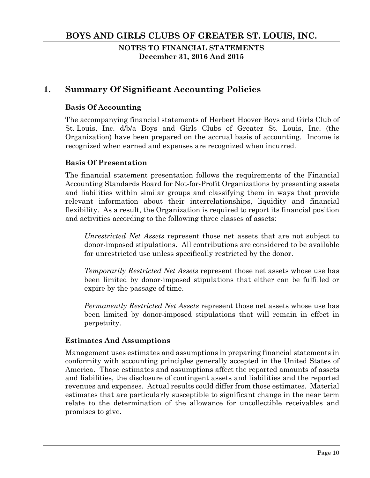**NOTES TO FINANCIAL STATEMENTS December 31, 2016 And 2015** 

## **1. Summary Of Significant Accounting Policies**

#### **Basis Of Accounting**

The accompanying financial statements of Herbert Hoover Boys and Girls Club of St. Louis, Inc. d/b/a Boys and Girls Clubs of Greater St. Louis, Inc. (the Organization) have been prepared on the accrual basis of accounting. Income is recognized when earned and expenses are recognized when incurred.

#### **Basis Of Presentation**

The financial statement presentation follows the requirements of the Financial Accounting Standards Board for Not-for-Profit Organizations by presenting assets and liabilities within similar groups and classifying them in ways that provide relevant information about their interrelationships, liquidity and financial flexibility. As a result, the Organization is required to report its financial position and activities according to the following three classes of assets:

*Unrestricted Net Assets* represent those net assets that are not subject to donor-imposed stipulations. All contributions are considered to be available for unrestricted use unless specifically restricted by the donor.

*Temporarily Restricted Net Assets* represent those net assets whose use has been limited by donor-imposed stipulations that either can be fulfilled or expire by the passage of time.

*Permanently Restricted Net Assets* represent those net assets whose use has been limited by donor-imposed stipulations that will remain in effect in perpetuity.

#### **Estimates And Assumptions**

Management uses estimates and assumptions in preparing financial statements in conformity with accounting principles generally accepted in the United States of America. Those estimates and assumptions affect the reported amounts of assets and liabilities, the disclosure of contingent assets and liabilities and the reported revenues and expenses. Actual results could differ from those estimates. Material estimates that are particularly susceptible to significant change in the near term relate to the determination of the allowance for uncollectible receivables and promises to give.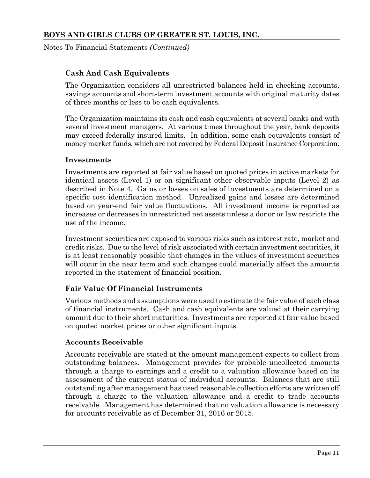Notes To Financial Statements *(Continued)*

### **Cash And Cash Equivalents**

The Organization considers all unrestricted balances held in checking accounts, savings accounts and short-term investment accounts with original maturity dates of three months or less to be cash equivalents.

The Organization maintains its cash and cash equivalents at several banks and with several investment managers. At various times throughout the year, bank deposits may exceed federally insured limits. In addition, some cash equivalents consist of money market funds, which are not covered by Federal Deposit Insurance Corporation.

#### **Investments**

Investments are reported at fair value based on quoted prices in active markets for identical assets (Level 1) or on significant other observable inputs (Level 2) as described in Note 4. Gains or losses on sales of investments are determined on a specific cost identification method. Unrealized gains and losses are determined based on year-end fair value fluctuations. All investment income is reported as increases or decreases in unrestricted net assets unless a donor or law restricts the use of the income.

Investment securities are exposed to various risks such as interest rate, market and credit risks. Due to the level of risk associated with certain investment securities, it is at least reasonably possible that changes in the values of investment securities will occur in the near term and such changes could materially affect the amounts reported in the statement of financial position.

#### **Fair Value Of Financial Instruments**

Various methods and assumptions were used to estimate the fair value of each class of financial instruments. Cash and cash equivalents are valued at their carrying amount due to their short maturities. Investments are reported at fair value based on quoted market prices or other significant inputs.

#### **Accounts Receivable**

Accounts receivable are stated at the amount management expects to collect from outstanding balances. Management provides for probable uncollected amounts through a charge to earnings and a credit to a valuation allowance based on its assessment of the current status of individual accounts. Balances that are still outstanding after management has used reasonable collection efforts are written off through a charge to the valuation allowance and a credit to trade accounts receivable. Management has determined that no valuation allowance is necessary for accounts receivable as of December 31, 2016 or 2015.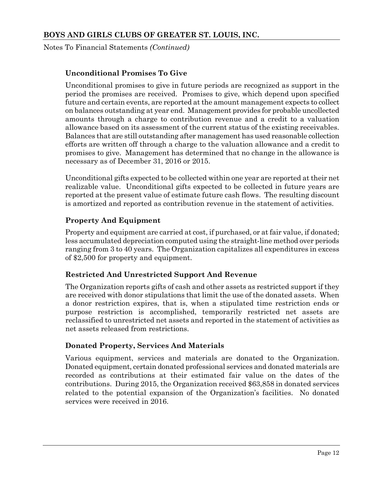Notes To Financial Statements *(Continued)*

## **Unconditional Promises To Give**

Unconditional promises to give in future periods are recognized as support in the period the promises are received. Promises to give, which depend upon specified future and certain events, are reported at the amount management expects to collect on balances outstanding at year end. Management provides for probable uncollected amounts through a charge to contribution revenue and a credit to a valuation allowance based on its assessment of the current status of the existing receivables. Balances that are still outstanding after management has used reasonable collection efforts are written off through a charge to the valuation allowance and a credit to promises to give. Management has determined that no change in the allowance is necessary as of December 31, 2016 or 2015.

Unconditional gifts expected to be collected within one year are reported at their net realizable value. Unconditional gifts expected to be collected in future years are reported at the present value of estimate future cash flows. The resulting discount is amortized and reported as contribution revenue in the statement of activities.

## **Property And Equipment**

Property and equipment are carried at cost, if purchased, or at fair value, if donated; less accumulated depreciation computed using the straight-line method over periods ranging from 3 to 40 years. The Organization capitalizes all expenditures in excess of \$2,500 for property and equipment.

#### **Restricted And Unrestricted Support And Revenue**

The Organization reports gifts of cash and other assets as restricted support if they are received with donor stipulations that limit the use of the donated assets. When a donor restriction expires, that is, when a stipulated time restriction ends or purpose restriction is accomplished, temporarily restricted net assets are reclassified to unrestricted net assets and reported in the statement of activities as net assets released from restrictions.

#### **Donated Property, Services And Materials**

Various equipment, services and materials are donated to the Organization. Donated equipment, certain donated professional services and donated materials are recorded as contributions at their estimated fair value on the dates of the contributions. During 2015, the Organization received \$63,858 in donated services related to the potential expansion of the Organization's facilities. No donated services were received in 2016.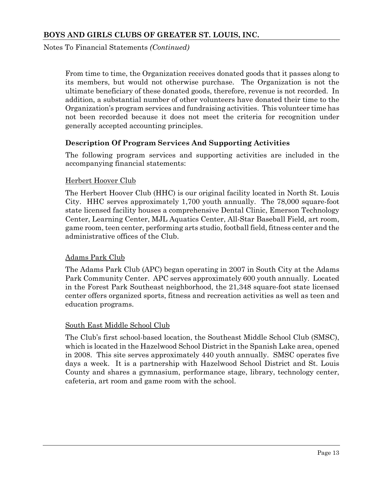Notes To Financial Statements *(Continued)*

From time to time, the Organization receives donated goods that it passes along to its members, but would not otherwise purchase. The Organization is not the ultimate beneficiary of these donated goods, therefore, revenue is not recorded. In addition, a substantial number of other volunteers have donated their time to the Organization's program services and fundraising activities. This volunteer time has not been recorded because it does not meet the criteria for recognition under generally accepted accounting principles.

#### **Description Of Program Services And Supporting Activities**

The following program services and supporting activities are included in the accompanying financial statements:

#### Herbert Hoover Club

The Herbert Hoover Club (HHC) is our original facility located in North St. Louis City. HHC serves approximately 1,700 youth annually. The 78,000 square-foot state licensed facility houses a comprehensive Dental Clinic, Emerson Technology Center, Learning Center, MJL Aquatics Center, All-Star Baseball Field, art room, game room, teen center, performing arts studio, football field, fitness center and the administrative offices of the Club.

#### Adams Park Club

The Adams Park Club (APC) began operating in 2007 in South City at the Adams Park Community Center. APC serves approximately 600 youth annually. Located in the Forest Park Southeast neighborhood, the 21,348 square-foot state licensed center offers organized sports, fitness and recreation activities as well as teen and education programs.

#### South East Middle School Club

The Club's first school-based location, the Southeast Middle School Club (SMSC), which is located in the Hazelwood School District in the Spanish Lake area, opened in 2008. This site serves approximately 440 youth annually. SMSC operates five days a week. It is a partnership with Hazelwood School District and St. Louis County and shares a gymnasium, performance stage, library, technology center, cafeteria, art room and game room with the school.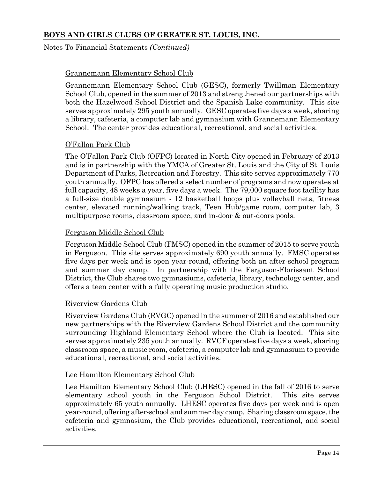#### Notes To Financial Statements *(Continued)*

#### Grannemann Elementary School Club

Grannemann Elementary School Club (GESC), formerly Twillman Elementary School Club, opened in the summer of 2013 and strengthened our partnerships with both the Hazelwood School District and the Spanish Lake community. This site serves approximately 295 youth annually. GESC operates five days a week, sharing a library, cafeteria, a computer lab and gymnasium with Grannemann Elementary School. The center provides educational, recreational, and social activities.

#### O'Fallon Park Club

The O'Fallon Park Club (OFPC) located in North City opened in February of 2013 and is in partnership with the YMCA of Greater St. Louis and the City of St. Louis Department of Parks, Recreation and Forestry. This site serves approximately 770 youth annually. OFPC has offered a select number of programs and now operates at full capacity, 48 weeks a year, five days a week. The 79,000 square foot facility has a full-size double gymnasium - 12 basketball hoops plus volleyball nets, fitness center, elevated running/walking track, Teen Hub/game room, computer lab, 3 multipurpose rooms, classroom space, and in-door & out-doors pools.

#### Ferguson Middle School Club

Ferguson Middle School Club (FMSC) opened in the summer of 2015 to serve youth in Ferguson. This site serves approximately 690 youth annually. FMSC operates five days per week and is open year-round, offering both an after-school program and summer day camp. In partnership with the Ferguson-Florissant School District, the Club shares two gymnasiums, cafeteria, library, technology center, and offers a teen center with a fully operating music production studio.

#### Riverview Gardens Club

Riverview Gardens Club (RVGC) opened in the summer of 2016 and established our new partnerships with the Riverview Gardens School District and the community surrounding Highland Elementary School where the Club is located. This site serves approximately 235 youth annually. RVCF operates five days a week, sharing classroom space, a music room, cafeteria, a computer lab and gymnasium to provide educational, recreational, and social activities.

#### Lee Hamilton Elementary School Club

Lee Hamilton Elementary School Club (LHESC) opened in the fall of 2016 to serve elementary school youth in the Ferguson School District. This site serves approximately 65 youth annually. LHESC operates five days per week and is open year-round, offering after-school and summer day camp. Sharing classroom space, the cafeteria and gymnasium, the Club provides educational, recreational, and social activities.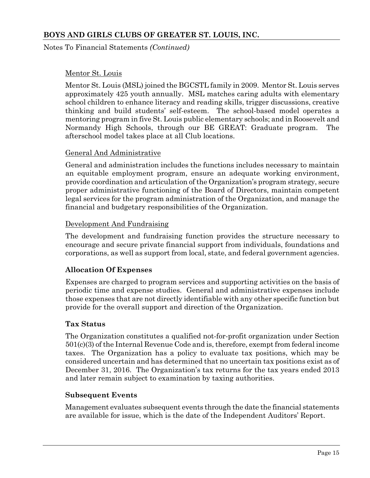Notes To Financial Statements *(Continued)*

#### Mentor St. Louis

Mentor St. Louis (MSL) joined the BGCSTL family in 2009. Mentor St. Louis serves approximately 425 youth annually. MSL matches caring adults with elementary school children to enhance literacy and reading skills, trigger discussions, creative thinking and build students' self-esteem. The school-based model operates a mentoring program in five St. Louis public elementary schools; and in Roosevelt and Normandy High Schools, through our BE GREAT: Graduate program. The afterschool model takes place at all Club locations.

#### General And Administrative

General and administration includes the functions includes necessary to maintain an equitable employment program, ensure an adequate working environment, provide coordination and articulation of the Organization's program strategy, secure proper administrative functioning of the Board of Directors, maintain competent legal services for the program administration of the Organization, and manage the financial and budgetary responsibilities of the Organization.

#### Development And Fundraising

The development and fundraising function provides the structure necessary to encourage and secure private financial support from individuals, foundations and corporations, as well as support from local, state, and federal government agencies.

#### **Allocation Of Expenses**

Expenses are charged to program services and supporting activities on the basis of periodic time and expense studies. General and administrative expenses include those expenses that are not directly identifiable with any other specific function but provide for the overall support and direction of the Organization.

#### **Tax Status**

The Organization constitutes a qualified not-for-profit organization under Section 501(c)(3) of the Internal Revenue Code and is, therefore, exempt from federal income taxes. The Organization has a policy to evaluate tax positions, which may be considered uncertain and has determined that no uncertain tax positions exist as of December 31, 2016. The Organization's tax returns for the tax years ended 2013 and later remain subject to examination by taxing authorities.

#### **Subsequent Events**

Management evaluates subsequent events through the date the financial statements are available for issue, which is the date of the Independent Auditors' Report.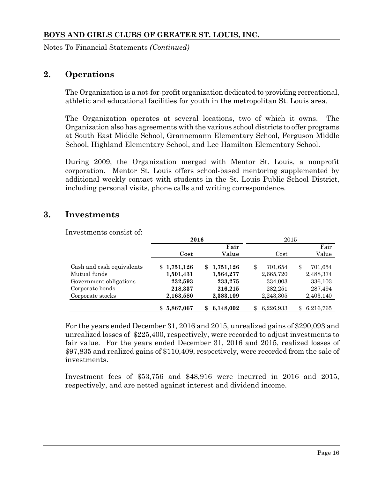Notes To Financial Statements *(Continued)*

## **2. Operations**

The Organization is a not-for-profit organization dedicated to providing recreational, athletic and educational facilities for youth in the metropolitan St. Louis area.

The Organization operates at several locations, two of which it owns. The Organization also has agreements with the various school districts to offer programs at South East Middle School, Grannemann Elementary School, Ferguson Middle School, Highland Elementary School, and Lee Hamilton Elementary School.

During 2009, the Organization merged with Mentor St. Louis, a nonprofit corporation. Mentor St. Louis offers school-based mentoring supplemented by additional weekly contact with students in the St. Louis Public School District, including personal visits, phone calls and writing correspondence.

### **3. Investments**

Investments consist of:

|                           | 2016        |                 | 2015            |               |
|---------------------------|-------------|-----------------|-----------------|---------------|
|                           |             | Fair            |                 | Fair          |
|                           | Cost        | Value           | $\rm Cost$      | Value         |
| Cash and cash equivalents | \$1,751,126 | 1,751,126<br>\$ | \$<br>701,654   | \$<br>701,654 |
| Mutual funds              | 1,501,431   | 1,564,277       | 2,665,720       | 2,488,374     |
| Government obligations    | 232,593     | 233,275         | 334,003         | 336,103       |
| Corporate bonds           | 218,337     | 216,215         | 282,251         | 287,494       |
| Corporate stocks          | 2,163,580   | 2,383,109       | 2,243,305       | 2,403,140     |
|                           | 5,867,067   | 6,148,002<br>\$ | 6,226,933<br>\$ | 6,216,765     |

For the years ended December 31, 2016 and 2015, unrealized gains of \$290,093 and unrealized losses of \$225,400, respectively, were recorded to adjust investments to fair value. For the years ended December 31, 2016 and 2015, realized losses of \$97,835 and realized gains of \$110,409, respectively, were recorded from the sale of investments.

Investment fees of \$53,756 and \$48,916 were incurred in 2016 and 2015, respectively, and are netted against interest and dividend income.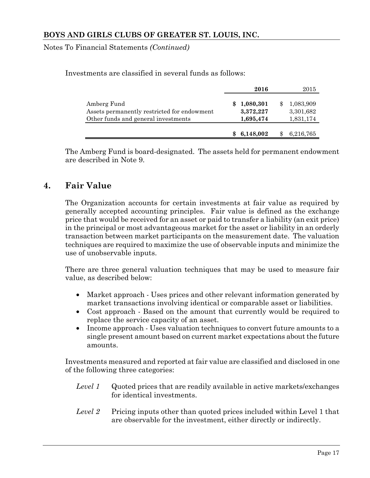Notes To Financial Statements *(Continued)*

**2016** 2015 Amberg Fund **\$ 1,080,301** \$ 1,083,909 Assets permanently restricted for endowment **3,372,227** 3,301,682

Investments are classified in several funds as follows:

|                          | The Amberg Fund is board-designated. The assets held for permanent endowment |
|--------------------------|------------------------------------------------------------------------------|
| are described in Note 9. |                                                                              |

Other funds and general investments 1,695,474 1,831,174

**\$ 6,148,002** \$ 6,216,765

## **4. Fair Value**

The Organization accounts for certain investments at fair value as required by generally accepted accounting principles. Fair value is defined as the exchange price that would be received for an asset or paid to transfer a liability (an exit price) in the principal or most advantageous market for the asset or liability in an orderly transaction between market participants on the measurement date. The valuation techniques are required to maximize the use of observable inputs and minimize the use of unobservable inputs.

There are three general valuation techniques that may be used to measure fair value, as described below:

- Market approach Uses prices and other relevant information generated by market transactions involving identical or comparable asset or liabilities.
- Cost approach Based on the amount that currently would be required to replace the service capacity of an asset.
- Income approach Uses valuation techniques to convert future amounts to a single present amount based on current market expectations about the future amounts.

Investments measured and reported at fair value are classified and disclosed in one of the following three categories:

- *Level 1* Quoted prices that are readily available in active markets/exchanges for identical investments.
- *Level 2* Pricing inputs other than quoted prices included within Level 1 that are observable for the investment, either directly or indirectly.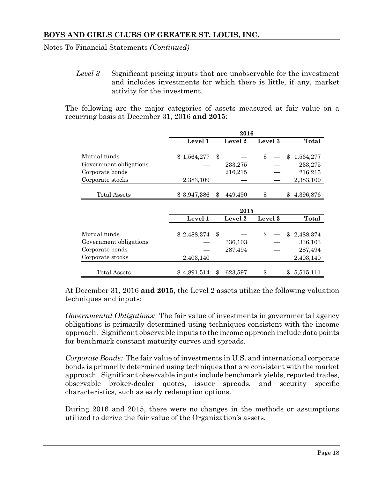Notes To Financial Statements *(Continued)*

*Level 3* Significant pricing inputs that are unobservable for the investment and includes investments for which there is little, if any, market activity for the investment.

The following are the major categories of assets measured at fair value on a recurring basis at December 31, 2016 **and 2015**:

|                        | 2016        |                            |         |         |  |    |           |  |
|------------------------|-------------|----------------------------|---------|---------|--|----|-----------|--|
|                        | Level 1     |                            | Level 2 | Level 3 |  |    | Total     |  |
|                        |             |                            |         |         |  |    |           |  |
| Mutual funds           | \$1,564,277 | $\boldsymbol{\mathcal{S}}$ |         | \$      |  | \$ | 1,564,277 |  |
| Government obligations |             |                            | 233,275 |         |  |    | 233,275   |  |
| Corporate bonds        |             |                            | 216,215 |         |  |    | 216,215   |  |
| Corporate stocks       | 2,383,109   |                            |         |         |  |    | 2,383,109 |  |
|                        |             |                            |         |         |  |    |           |  |
| <b>Total Assets</b>    | \$3,947,386 | \$                         | 449,490 |         |  | \$ | 4,396,876 |  |
|                        |             |                            |         |         |  |    |           |  |
|                        |             | 2015                       |         |         |  |    |           |  |
|                        |             |                            |         |         |  |    |           |  |
|                        | Level 1     |                            | Level 2 | Level 3 |  |    | Total     |  |
|                        |             |                            |         |         |  |    |           |  |
| Mutual funds           | \$2,488,374 | $\mathbf{\$}$              |         | \$      |  | \$ | 2,488,374 |  |
| Government obligations |             |                            | 336,103 |         |  |    | 336,103   |  |
| Corporate bonds        |             |                            | 287,494 |         |  |    | 287,494   |  |
| Corporate stocks       | 2,403,140   |                            |         |         |  |    | 2,403,140 |  |
|                        |             |                            |         |         |  |    |           |  |

At December 31, 2016 **and 2015**, the Level 2 assets utilize the following valuation techniques and inputs:

*Governmental Obligations:* The fair value of investments in governmental agency obligations is primarily determined using techniques consistent with the income approach. Significant observable inputs to the income approach include data points for benchmark constant maturity curves and spreads.

*Corporate Bonds:* The fair value of investments in U.S. and international corporate bonds is primarily determined using techniques that are consistent with the market approach. Significant observable inputs include benchmark yields, reported trades, observable broker-dealer quotes, issuer spreads, and security specific characteristics, such as early redemption options.

During 2016 and 2015, there were no changes in the methods or assumptions utilized to derive the fair value of the Organization's assets.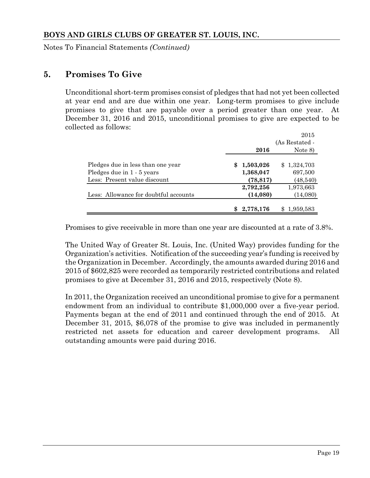Notes To Financial Statements *(Continued)*

### **5. Promises To Give**

Unconditional short-term promises consist of pledges that had not yet been collected at year end and are due within one year. Long-term promises to give include promises to give that are payable over a period greater than one year. At December 31, 2016 and 2015, unconditional promises to give are expected to be collected as follows:

|                                       |                 | 2015           |
|---------------------------------------|-----------------|----------------|
|                                       |                 | (As Restated - |
|                                       | 2016            | Note 8)        |
| Pledges due in less than one year     | \$<br>1,503,026 | \$1,324,703    |
| Pledges due in 1 - 5 years            | 1,368,047       | 697,500        |
| Less: Present value discount          | (78, 817)       | (48,540)       |
|                                       | 2,792,256       | 1,973,663      |
| Less: Allowance for doubtful accounts | (14,080)        | (14,080)       |
|                                       | 2,778,176       | 1,959,583      |

Promises to give receivable in more than one year are discounted at a rate of 3.8%.

The United Way of Greater St. Louis, Inc. (United Way) provides funding for the Organization's activities. Notification of the succeeding year's funding is received by the Organization in December. Accordingly, the amounts awarded during 2016 and 2015 of \$602,825 were recorded as temporarily restricted contributions and related promises to give at December 31, 2016 and 2015, respectively (Note 8).

In 2011, the Organization received an unconditional promise to give for a permanent endowment from an individual to contribute \$1,000,000 over a five-year period. Payments began at the end of 2011 and continued through the end of 2015. At December 31, 2015, \$6,078 of the promise to give was included in permanently restricted net assets for education and career development programs. All outstanding amounts were paid during 2016.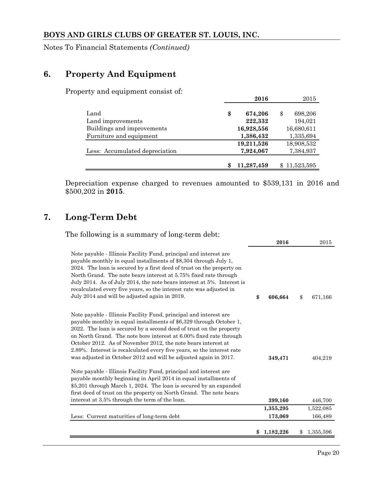Notes To Financial Statements *(Continued)*

## **6. Property And Equipment**

Property and equipment consist of:

|                                | 2016             | 2015          |
|--------------------------------|------------------|---------------|
|                                |                  |               |
| Land                           | \$<br>674,206    | \$<br>698,206 |
| Land improvements              | 222,332          | 194,021       |
| Buildings and improvements     | 16,928,556       | 16,680,611    |
| Furniture and equipment        | 1,386,432        | 1,335,694     |
|                                | 19,211,526       | 18,908,532    |
| Less: Accumulated depreciation | 7,924,067        | 7,384,937     |
|                                |                  |               |
|                                | \$<br>11,287,459 | 11,523,595    |

Depreciation expense charged to revenues amounted to \$539,131 in 2016 and \$500,202 in **2015**.

## **7. Long-Term Debt**

| The following is a summary of long-term debt:                                                                                                                                                                                                                                                                                                                                                                                                                                                        |                 |                 |
|------------------------------------------------------------------------------------------------------------------------------------------------------------------------------------------------------------------------------------------------------------------------------------------------------------------------------------------------------------------------------------------------------------------------------------------------------------------------------------------------------|-----------------|-----------------|
|                                                                                                                                                                                                                                                                                                                                                                                                                                                                                                      | 2016            | 2015            |
| Note payable - Illinois Facility Fund, principal and interest are<br>payable monthly in equal installments of \$8,304 through July 1,<br>2024. The loan is secured by a first deed of trust on the property on<br>North Grand. The note bears interest at 5.75% fixed rate through<br>July 2014. As of July 2014, the note bears interest at 5%. Interest is<br>recalculated every five years, so the interest rate was adjusted in<br>July 2014 and will be adjusted again in 2019.                 | \$<br>606,664   | \$<br>671,166   |
| Note payable - Illinois Facility Fund, principal and interest are<br>payable monthly in equal installments of \$6,329 through October 1,<br>2022. The loan is secured by a second deed of trust on the property<br>on North Grand. The note bore interest at 6.00% fixed rate through<br>October 2012. As of November 2012, the note bears interest at<br>2.89%. Interest is recalculated every five years, so the interest rate<br>was adjusted in October 2012 and will be adjusted again in 2017. | 349,471         | 404,219         |
| Note payable - Illinois Facility Fund, principal and interest are<br>payable monthly beginning in April 2014 in equal installments of<br>\$5,201 through March 1, 2024. The loan is secured by an expanded<br>first deed of trust on the property on North Grand. The note bears<br>interest at 3.5% through the term of the loan.                                                                                                                                                                   | 399,160         | 446,700         |
|                                                                                                                                                                                                                                                                                                                                                                                                                                                                                                      | 1,355,295       | 1,522,085       |
| Less: Current maturities of long-term debt                                                                                                                                                                                                                                                                                                                                                                                                                                                           | 173,069         | 166,489         |
|                                                                                                                                                                                                                                                                                                                                                                                                                                                                                                      | \$<br>1,182,226 | \$<br>1,355,596 |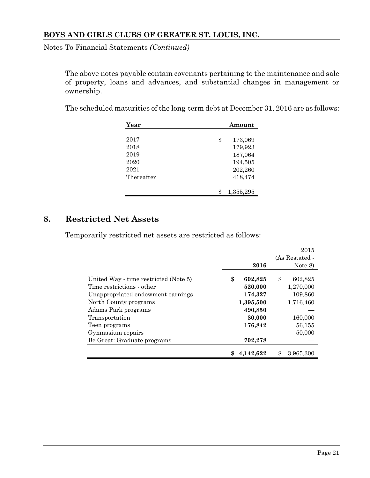Notes To Financial Statements *(Continued)*

The above notes payable contain covenants pertaining to the maintenance and sale of property, loans and advances, and substantial changes in management or ownership.

The scheduled maturities of the long-term debt at December 31, 2016 are as follows:

| Year       | Amount          |
|------------|-----------------|
|            |                 |
| 2017       | \$<br>173,069   |
| 2018       | 179,923         |
| 2019       | 187,064         |
| 2020       | 194,505         |
| 2021       | 202,260         |
| Thereafter | 418,474         |
|            |                 |
|            | \$<br>1,355,295 |

## **8. Restricted Net Assets**

Temporarily restricted net assets are restricted as follows:

|                                       |               | 2015            |
|---------------------------------------|---------------|-----------------|
|                                       |               | (As Restated -  |
|                                       | 2016          | Note 8)         |
| United Way - time restricted (Note 5) | \$<br>602,825 | \$<br>602,825   |
| Time restrictions - other             | 520,000       | 1,270,000       |
| Unappropriated endowment earnings     | 174,327       | 109,860         |
| North County programs                 | 1,395,500     | 1,716,460       |
| Adams Park programs                   | 490,850       |                 |
| Transportation                        | 80,000        | 160,000         |
| Teen programs                         | 176,842       | 56,155          |
| Gymnasium repairs                     |               | 50,000          |
| Be Great: Graduate programs           | 702,278       |                 |
|                                       | 4,142,622     | \$<br>3,965,300 |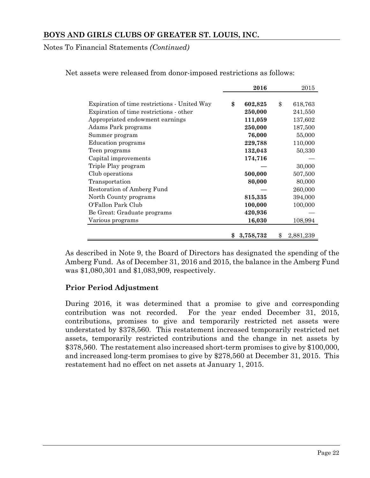Notes To Financial Statements *(Continued)*

|                                              | 2016            | 2015            |
|----------------------------------------------|-----------------|-----------------|
|                                              |                 |                 |
| Expiration of time restrictions - United Way | \$<br>602,825   | \$<br>618,763   |
| Expiration of time restrictions - other      | 250,000         | 241,550         |
| Appropriated endowment earnings              | 111,059         | 137,602         |
| Adams Park programs                          | 250,000         | 187,500         |
| Summer program                               | 76,000          | 55,000          |
| Education programs                           | 229,788         | 110,000         |
| Teen programs                                | 132,043         | 50,330          |
| Capital improvements                         | 174,716         |                 |
| Triple Play program                          |                 | 30,000          |
| Club operations                              | 500,000         | 507,500         |
| Transportation                               | 80,000          | 80,000          |
| Restoration of Amberg Fund                   |                 | 260,000         |
| North County programs                        | 815,335         | 394,000         |
| O'Fallon Park Club                           | 100,000         | 100,000         |
| Be Great: Graduate programs                  | 420,936         |                 |
| Various programs                             | 16,030          | 108,994         |
|                                              |                 |                 |
|                                              | \$<br>3,758,732 | \$<br>2,881,239 |

Net assets were released from donor-imposed restrictions as follows:

As described in Note 9, the Board of Directors has designated the spending of the Amberg Fund. As of December 31, 2016 and 2015, the balance in the Amberg Fund was \$1,080,301 and \$1,083,909, respectively.

#### **Prior Period Adjustment**

During 2016, it was determined that a promise to give and corresponding contribution was not recorded. For the year ended December 31, 2015, contributions, promises to give and temporarily restricted net assets were understated by \$378,560. This restatement increased temporarily restricted net assets, temporarily restricted contributions and the change in net assets by \$378,560. The restatement also increased short-term promises to give by \$100,000, and increased long-term promises to give by \$278,560 at December 31, 2015. This restatement had no effect on net assets at January 1, 2015.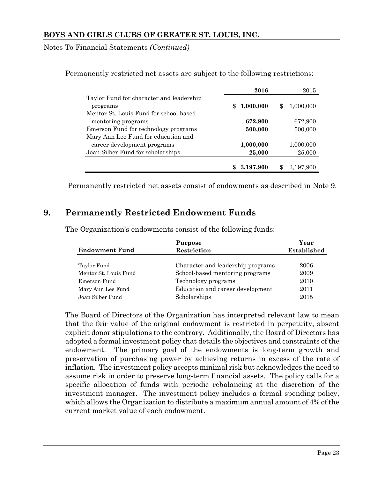Notes To Financial Statements *(Continued)*

|                                                      | 2016            | 2015            |
|------------------------------------------------------|-----------------|-----------------|
| Taylor Fund for character and leadership<br>programs | \$<br>1,000,000 | \$<br>1,000,000 |
| Mentor St. Louis Fund for school-based               |                 |                 |
| mentoring programs                                   | 672,900         | 672,900         |
| Emerson Fund for technology programs                 | 500,000         | 500,000         |
| Mary Ann Lee Fund for education and                  |                 |                 |
| career development programs                          | 1,000,000       | 1,000,000       |
| Joan Silber Fund for scholarships                    | 25,000          | 25,000          |
|                                                      |                 |                 |
|                                                      | 3,197,900       | 3,197,900       |

Permanently restricted net assets are subject to the following restrictions:

Permanently restricted net assets consist of endowments as described in Note 9.

## **9. Permanently Restricted Endowment Funds**

The Organization's endowments consist of the following funds:

|                       | Purpose                           | Year        |
|-----------------------|-----------------------------------|-------------|
| <b>Endowment Fund</b> | Restriction                       | Established |
|                       |                                   |             |
| Taylor Fund           | Character and leadership programs | 2006        |
| Mentor St. Louis Fund | School-based mentoring programs   | 2009        |
| Emerson Fund          | Technology programs               | 2010        |
| Mary Ann Lee Fund     | Education and career development  | 2011        |
| Joan Silber Fund      | Scholarships                      | 2015        |

The Board of Directors of the Organization has interpreted relevant law to mean that the fair value of the original endowment is restricted in perpetuity, absent explicit donor stipulations to the contrary. Additionally, the Board of Directors has adopted a formal investment policy that details the objectives and constraints of the endowment. The primary goal of the endowments is long-term growth and preservation of purchasing power by achieving returns in excess of the rate of inflation. The investment policy accepts minimal risk but acknowledges the need to assume risk in order to preserve long-term financial assets. The policy calls for a specific allocation of funds with periodic rebalancing at the discretion of the investment manager. The investment policy includes a formal spending policy, which allows the Organization to distribute a maximum annual amount of 4% of the current market value of each endowment.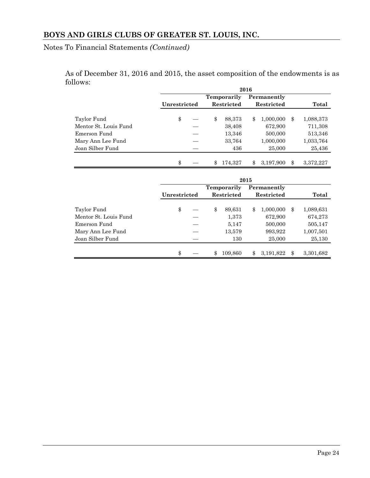Notes To Financial Statements *(Continued)*

As of December 31, 2016 and 2015, the asset composition of the endowments is as follows:

|                       |    | 2016         |    |                    |    |             |    |           |            |  |       |
|-----------------------|----|--------------|----|--------------------|----|-------------|----|-----------|------------|--|-------|
|                       |    |              |    | <b>Temporarily</b> |    | Permanently |    |           |            |  |       |
|                       |    | Unrestricted |    |                    |    | Restricted  |    |           | Restricted |  | Total |
|                       |    |              |    |                    |    |             |    |           |            |  |       |
| Taylor Fund           | \$ |              | \$ | 88,373             | \$ | 1,000,000   | \$ | 1,088,373 |            |  |       |
| Mentor St. Louis Fund |    |              |    | 38,408             |    | 672,900     |    | 711,308   |            |  |       |
| Emerson Fund          |    |              |    | 13,346             |    | 500,000     |    | 513,346   |            |  |       |
| Mary Ann Lee Fund     |    |              |    | 33,764             |    | 1,000,000   |    | 1,033,764 |            |  |       |
| Joan Silber Fund      |    |              |    | 436                |    | 25,000      |    | 25,436    |            |  |       |
|                       |    |              |    | 174.327            |    |             |    |           |            |  |       |
|                       | \$ |              | \$ |                    | \$ | 3,197,900   | \$ | 3,372,227 |            |  |       |

|                       |    |              |    | Temporarily |    | Permanently |    |            |  |       |
|-----------------------|----|--------------|----|-------------|----|-------------|----|------------|--|-------|
|                       |    | Unrestricted |    |             |    | Restricted  |    | Restricted |  | Total |
|                       |    |              |    |             |    |             |    |            |  |       |
| Taylor Fund           | \$ |              | \$ | 89,631      | \$ | 1,000,000   | \$ | 1,089,631  |  |       |
| Mentor St. Louis Fund |    |              |    | 1,373       |    | 672,900     |    | 674,273    |  |       |
| Emerson Fund          |    |              |    | 5,147       |    | 500,000     |    | 505,147    |  |       |
| Mary Ann Lee Fund     |    |              |    | 13,579      |    | 993,922     |    | 1,007,501  |  |       |
| Joan Silber Fund      |    |              |    | 130         |    | 25,000      |    | 25,130     |  |       |
|                       |    |              |    |             |    |             |    |            |  |       |
|                       | \$ |              | \$ | 109,860     | \$ | 3, 191, 822 | \$ | 3,301,682  |  |       |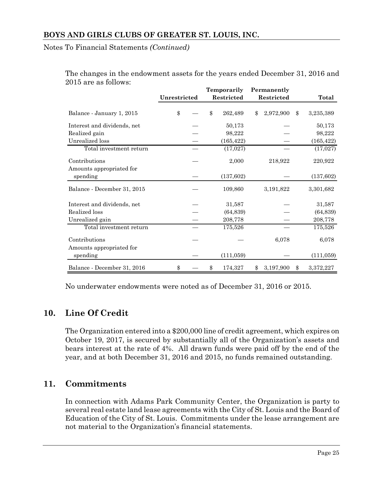Notes To Financial Statements *(Continued)*

|                                           |              |    | Temporarily | Permanently     |               |            |
|-------------------------------------------|--------------|----|-------------|-----------------|---------------|------------|
|                                           | Unrestricted |    | Restricted  | Restricted      |               | Total      |
| Balance - January 1, 2015                 | \$           | \$ | 262,489     | \$<br>2,972,900 | $\mathbf{\$}$ | 3,235,389  |
| Interest and dividends, net               |              |    | 50,173      |                 |               | 50,173     |
| Realized gain                             |              |    | 98,222      |                 |               | 98,222     |
| Unrealized loss                           |              |    | (165, 422)  |                 |               | (165, 422) |
| Total investment return                   |              |    | (17,027)    |                 |               | (17,027)   |
| Contributions<br>Amounts appropriated for |              |    | 2,000       | 218,922         |               | 220,922    |
| spending                                  |              |    | (137, 602)  |                 |               | (137, 602) |
| Balance - December 31, 2015               |              |    | 109,860     | 3,191,822       |               | 3,301,682  |
| Interest and dividends, net               |              |    | 31,587      |                 |               | 31,587     |
| Realized loss                             |              |    | (64, 839)   |                 |               | (64, 839)  |
| Unrealized gain                           |              |    | 208,778     |                 |               | 208,778    |
| Total investment return                   |              |    | 175,526     |                 |               | 175,526    |
| Contributions<br>Amounts appropriated for |              |    |             | 6,078           |               | 6,078      |
| spending                                  |              |    | (111,059)   |                 |               | (111,059)  |
| Balance - December 31, 2016               | \$           | \$ | 174,327     | \$<br>3,197,900 | \$            | 3,372,227  |

The changes in the endowment assets for the years ended December 31, 2016 and 2015 are as follows:

No underwater endowments were noted as of December 31, 2016 or 2015.

## **10. Line Of Credit**

The Organization entered into a \$200,000 line of credit agreement, which expires on October 19, 2017, is secured by substantially all of the Organization's assets and bears interest at the rate of 4%. All drawn funds were paid off by the end of the year, and at both December 31, 2016 and 2015, no funds remained outstanding.

## **11. Commitments**

In connection with Adams Park Community Center, the Organization is party to several real estate land lease agreements with the City of St. Louis and the Board of Education of the City of St. Louis. Commitments under the lease arrangement are not material to the Organization's financial statements.